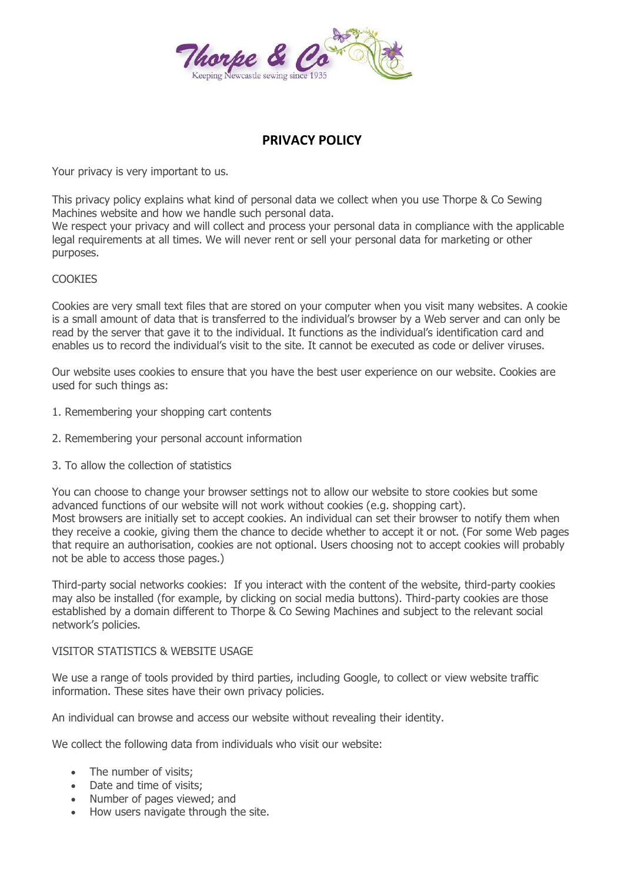

# **PRIVACY POLICY**

Your privacy is very important to us.

This privacy policy explains what kind of personal data we collect when you use Thorpe & Co Sewing Machines website and how we handle such personal data.

We respect your privacy and will collect and process your personal data in compliance with the applicable legal requirements at all times. We will never rent or sell your personal data for marketing or other purposes.

## **COOKIES**

Cookies are very small text files that are stored on your computer when you visit many websites. A cookie is a small amount of data that is transferred to the individual's browser by a Web server and can only be read by the server that gave it to the individual. It functions as the individual's identification card and enables us to record the individual's visit to the site. It cannot be executed as code or deliver viruses.

Our website uses cookies to ensure that you have the best user experience on our website. Cookies are used for such things as:

- 1. Remembering your shopping cart contents
- 2. Remembering your personal account information
- 3. To allow the collection of statistics

You can choose to change your browser settings not to allow our website to store cookies but some advanced functions of our website will not work without cookies (e.g. shopping cart). Most browsers are initially set to accept cookies. An individual can set their browser to notify them when they receive a cookie, giving them the chance to decide whether to accept it or not. (For some Web pages that require an authorisation, cookies are not optional. Users choosing not to accept cookies will probably not be able to access those pages.)

Third-party social networks cookies: If you interact with the content of the website, third-party cookies may also be installed (for example, by clicking on social media buttons). Third-party cookies are those established by a domain different to Thorpe & Co Sewing Machines and subject to the relevant social network's policies.

#### VISITOR STATISTICS & WEBSITE USAGE

We use a range of tools provided by third parties, including Google, to collect or view website traffic information. These sites have their own privacy policies.

An individual can browse and access our website without revealing their identity.

We collect the following data from individuals who visit our website:

- The number of visits;
- Date and time of visits;
- Number of pages viewed; and
- How users navigate through the site.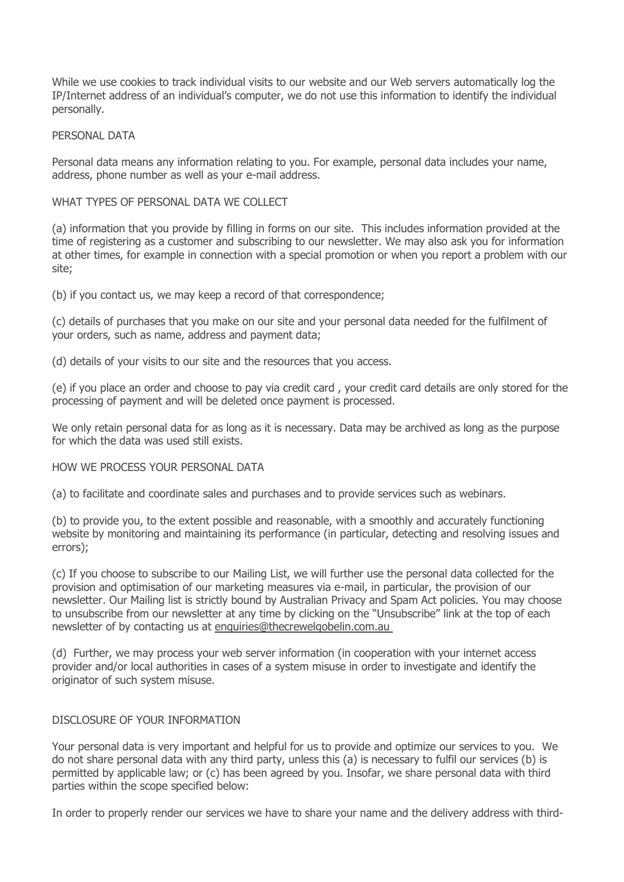While we use cookies to track individual visits to our website and our Web servers automatically log the IP/Internet address of an individual's computer, we do not use this information to identify the individual personally.

## PERSONAL DATA

Personal data means any information relating to you. For example, personal data includes your name, address, phone number as well as your e-mail address.

### WHAT TYPES OF PERSONAL DATA WE COLLECT

(a) information that you provide by filling in forms on our site. This includes information provided at the time of registering as a customer and subscribing to our newsletter. We may also ask you for information at other times, for example in connection with a special promotion or when you report a problem with our site;

(b) if you contact us, we may keep a record of that correspondence;

(c) details of purchases that you make on our site and your personal data needed for the fulfilment of your orders, such as name, address and payment data;

(d) details of your visits to our site and the resources that you access.

(e) if you place an order and choose to pay via credit card , your credit card details are only stored for the processing of payment and will be deleted once payment is processed.

We only retain personal data for as long as it is necessary. Data may be archived as long as the purpose for which the data was used still exists.

## HOW WE PROCESS YOUR PERSONAL DATA

(a) to facilitate and coordinate sales and purchases and to provide services such as webinars.

(b) to provide you, to the extent possible and reasonable, with a smoothly and accurately functioning website by monitoring and maintaining its performance (in particular, detecting and resolving issues and errors);

(c) If you choose to subscribe to our Mailing List, we will further use the personal data collected for the provision and optimisation of our marketing measures via e-mail, in particular, the provision of our newsletter. Our Mailing list is strictly bound by Australian Privacy and Spam Act policies. You may choose to unsubscribe from our newsletter at any time by clicking on the "Unsubscribe" link at the top of each newsletter of by contacting us at [enquiries@thecrewelgobelin.com.au](mailto:enquiries@thecrewelgobelin.com.au)

(d) Further, we may process your web server information (in cooperation with your internet access provider and/or local authorities in cases of a system misuse in order to investigate and identify the originator of such system misuse.

## DISCLOSURE OF YOUR INFORMATION

Your personal data is very important and helpful for us to provide and optimize our services to you. We do not share personal data with any third party, unless this (a) is necessary to fulfil our services (b) is permitted by applicable law; or (c) has been agreed by you. Insofar, we share personal data with third parties within the scope specified below:

In order to properly render our services we have to share your name and the delivery address with third-